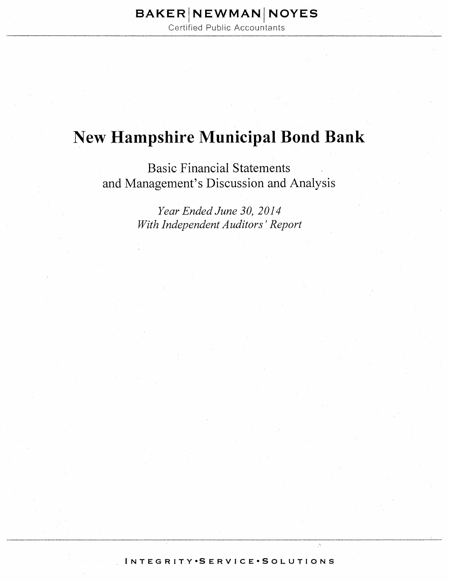# BAKERjNEW'MANj **NOYES**

**Certified Public Accountants** 

# New Hampshire Municipal Bond Bank

Basic Financial Statements and Management's Discussion and Analysis

> *Year Ended June 30, 2014 With Independent Auditors' Report*

-------""·~----· ----"""""~-···-""""""""'"""""

"\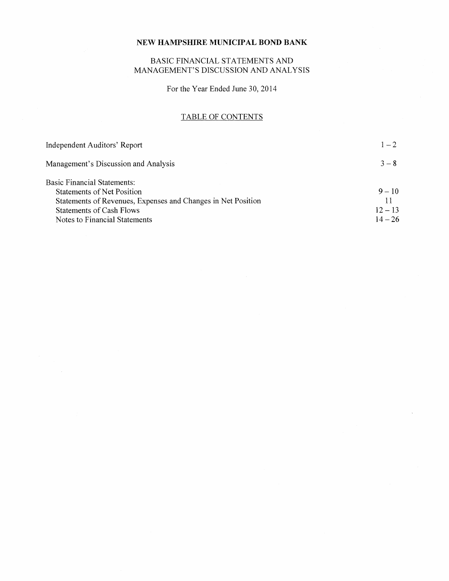## BASIC FINANCIAL STATEMENTS AND MANAGEMENT'S DISCUSSION AND ANALYSIS

For the Year Ended June 30, 2014

# TABLE OF CONTENTS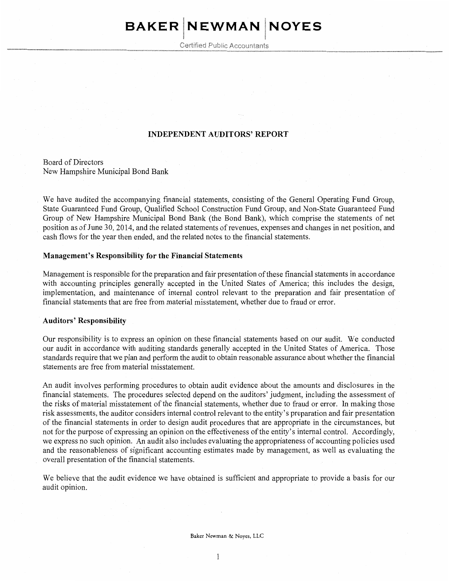# **BAKER NEWMAN NOYES**

**Certified Public Accountants** 

#### INDEPENDENT AUDITORS' REPORT

Board of Directors New Hampshire Municipal Bond Bank

We have audited the accompanying financial statements, consisting of the General Operating Fund Group, State Guaranteed Fund Group, Qualified School Construction Fund Group, and Non-State Guaranteed Fund Group of New Hampshire Municipal Bond Bank (the Bond Bank), which comprise the statements of net position as of June 30, 2014, and the related statements of revenues, expenses and changes in net position, and cash flows for the year then ended, and the related notes to the financial statements.

#### Management's Responsibility for the Financial Statements

Management is responsible for the preparation and fair presentation of these financial statements in accordance with accounting principles generally accepted in the United States of America; this includes the design, implementation, and maintenance of internal control relevant to the preparation and fair presentation of financial statements that are free from material misstatement, whether due to fraud or error.

#### Auditors' Responsibility

Our responsibility is to express an opinion on these financial statements based on our audit. We conducted our audit in accordance with auditing standards generally accepted in the United States of America. Those standards require that we plan and perform the audit to obtain reasonable assurance about whether the financial statements are free from material misstatement.

An audit involves performing procedures to obtain audit evidence about the amounts and disclosures in the financial statements. The procedures selected depend on the auditors' judgment, including the assessment of the risks of material misstatement of the financial statements, whether due to fraud or error. In making those risk assessments, the auditor considers internal control relevant to the entity's preparation and fair presentation of the financial statements in order to design audit procedures that are appropriate in the circumstances, but not for the purpose of expressing an opinion on the effectiveness of the entity's internal control. Accordingly, we express no such opinion. An audit also includes evaluating the appropriateness of accounting policies used and the reasonableness of significant accounting estimates made by management, as well as evaluating the overall presentation of the financial statements.

We believe that the audit evidence we have obtained is sufficient and appropriate to provide a basis for our audit opinion.

Baker Newman & Noyes, LLC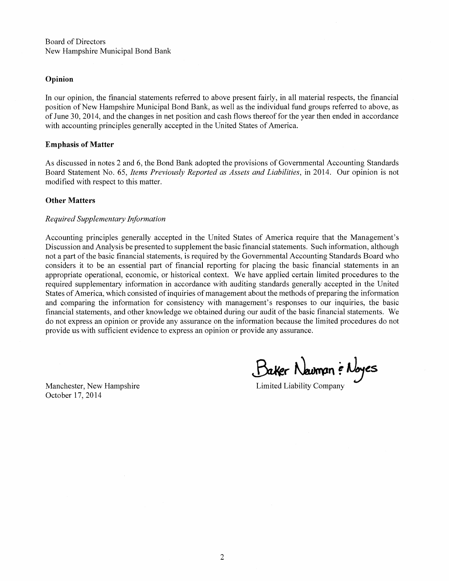#### **Opinion**

In our opinion, the financial statements referred to above present fairly, in all material respects, the financial position of New Hampshire Municipal Bond Bank, as well as the individual fund groups referred to above, as of June 30, 2014, and the changes in net position and cash flows thereof for the year then ended in accordance with accounting principles generally accepted in the United States of America.

#### **Emphasis of Matter**

As discussed in notes 2 and 6, the Bond Bank adopted the provisions of Governmental Accounting Standards Board Statement No. 65, *Items Previously Reported as Assets and Liabilities,* in 2014. Our opinion is not modified with respect to this matter.

#### **Other Matters**

#### *Required Supplementary Information*

Accounting principles generally accepted in the United States of America require that the Management's Discussion and Analysis be presented to supplement the basic financial statements. Such information, although not a part of the basic financial statements, is required by the Governmental Accounting Standards Board who considers it to be an essential part of financial reporting for placing the basic financial statements in an appropriate operational, economic, or historical context. We have applied certain limited procedures to the required supplementary information in accordance with auditing standards generally accepted in the United States of America, which consisted of inquiries of management about the methods of preparing the information and comparing the information for consistency with management's responses to our inquiries, the basic financial statements, and other knowledge we obtained during our audit of the basic financial statements. We do not express an opinion or provide any assurance on the information because the limited procedures do not provide us with sufficient evidence to express an opinion or provide any assurance.

Manchester, New Hampshire October 17, 2014

Baker Navman & Noyes

Limited Liability Company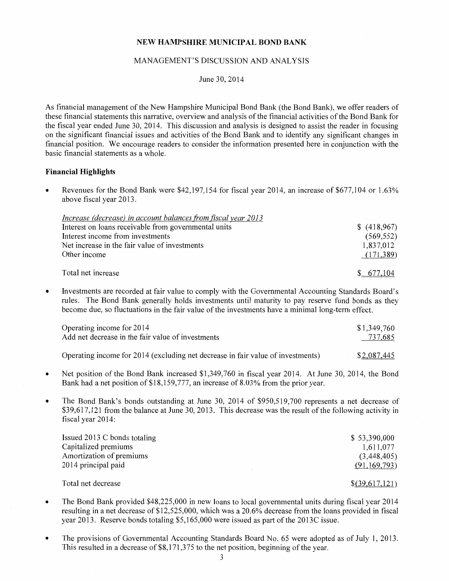#### MANAGEMENT'S DISCUSSION AND ANALYSIS

#### June 30, 2014

As financial management of the New Hampshire Municipal Bond Bank (the Bond Bank), we offer readers of these financial statements this narrative, overview and analysis of the financial activities of the Bond Bank for the fiscal year ended June 30, 2014. This discussion and analysis is designed to assist the reader in focusing on the significant financial issues and activities of the Bond Bank and to identify any significant changes in financial position. We encourage readers to consider the information presented here in conjunction with the basic financial statements as a whole.

#### **Financial Highlights**

Revenues for the Bond Bank were \$42,197,154 for fiscal year 2014, an increase of \$677,104 or 1.63% above fiscal year 2013.

| Increase (decrease) in account balances from fiscal year 2013 |              |
|---------------------------------------------------------------|--------------|
| Interest on loans receivable from governmental units          | \$ (418,967) |
| Interest income from investments                              | (569, 552)   |
| Net increase in the fair value of investments                 | 1,837,012    |
| Other income                                                  | (171, 389)   |
| Total net increase                                            | \$ 677,104   |

Total net increase

• Investments are recorded at fair value to comply with the Governmental Accounting Standards Board's rules. The Bond Bank generally holds investments until maturity to pay reserve fund bonds as they become due, so fluctuations in the fair value of the investments have a minimal long-term effect.

| Operating income for 2014                         | \$1,349,760 |
|---------------------------------------------------|-------------|
| Add net decrease in the fair value of investments | 737,685     |
|                                                   |             |

Operating income for 2014 (excluding net decrease in fair value of investments) \$2.087.445

- Net position of the Bond Bank increased \$1,349,760 in fiscal year 2014. At June 30, 2014, the Bond Bank had a net position of \$18,159,777, an increase of 8.03% from the prior year.
- The Bond Bank's bonds outstanding at June 30, 2014 of \$950,519,700 represents a net decrease of \$39,617,121 from the balance at June 30, 2013. This decrease was the result of the following activity in fiscal year 2014:

| Issued 2013 C bonds totaling | \$53,390,000     |
|------------------------------|------------------|
| Capitalized premiums         | 1,611,077        |
| Amortization of premiums     | (3,448,405)      |
| 2014 principal paid          | (91, 169, 793)   |
| Total net decrease           | $\{(39,617,121)$ |

- The Bond Bank provided \$48,225,000 in new loans to local governmental units during fiscal year 2014 resulting in a net decrease of \$12,525,000, which was a 20.6% decrease from the loans provided in fiscal year 2013. Reserve bonds totaling \$5,165,000 were issued as part of the 2013C issue.
- The provisions of Governmental Accounting Standards Board No. 65 were adopted as of July 1, 2013. This resulted in a decrease of \$8,171,375 to the net position, beginning of the year.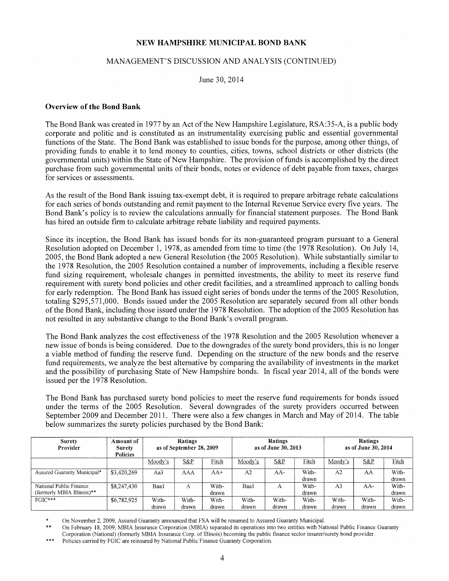## MANAGEMENT'S DISCUSSION AND ANALYSIS (CONTINUED)

June 30, 2014

#### **Overview of the Bond Bank**

The Bond Bank was created in 1977 by an Act of the New Hampshire Legislature, RSA:35-A, is a public body corporate and politic and is constituted as an instrumentality exercising public and essential governmental functions of the State. The Bond Bank was established to issue bonds for the purpose, among other things, of providing funds to enable it to lend money to counties, cities, towns, school districts or other districts (the governmental units) within the State of New Hampshire. The provision of funds is accomplished by the direct purchase from such governmental units of their bonds, notes or evidence of debt payable from taxes, charges for services or assessments.

As the result of the Bond Bank issuing tax-exempt debt, it is required to prepare arbitrage rebate calculations for each series of bonds outstanding and remit payment to the Internal Revenue Service every five years. The Bond Bank's policy is to review the calculations annually for financial statement purposes. The Bond Bank has hired an outside firm to calculate arbitrage rebate liability and required payments.

Since its inception, the Bond Bank has issued bonds for its non-guaranteed program pursuant to a General Resolution adopted on December 1, 1978, as amended from time to time (the 1978 Resolution). On July 14, 2005, the Bond Bank adopted a new General Resolution (the 2005 Resolution). While substantially similar to the 1978 Resolution, the 2005 Resolution contained a number of improvements, including a flexible reserve fund sizing requirement, wholesale changes in permitted investments, the ability to meet its reserve fund requirement with surety bond policies and other credit facilities, and a streamlined approach to calling bonds for early redemption. The Bond Bank has issued eight series of bonds under the terms of the 2005 Resolution, totaling \$295,571,000. Bonds issued under the 2005 Resolution are separately secured from all other bonds of the Bond Bank, including those issued under the 1978 Resolution. The adoption of the 2005 Resolution has not resulted in any substantive change to the Bond Bank's overall program.

The Bond Bank analyzes the cost effectiveness of the 1978 Resolution and the 2005 Resolution whenever a new issue of bonds is being considered. Due to the downgrades of the surety bond providers, this is no longer a viable method of funding the reserve fund. Depending on the structure of the new bonds and the reserve fund requirements, we analyze the best alternative by comparing the availability of investments in the market and the possibility of purchasing State of New Hampshire bonds. In fiscal year 2014, all of the bonds were issued per the 1978 Resolution.

The Bond Bank has purchased surety bond policies to meet the reserve fund requirements for bonds issued under the terms of the 2005. Resolution. Several downgrades of the surety providers occurred between September 2009 and December 2011. There were also a few changes in March and May of 2014. The table below summarizes the surety policies purchased by the Bond Bank:

| Surety<br>Provider                                    | Amount of<br><b>Surety</b><br><b>Policies</b> | Ratings<br>as of September 28, 2009 |                |                |                | Ratings<br>as of June 30, 2013 |                | Ratings<br>as of June 30, 2014 |                |                |  |
|-------------------------------------------------------|-----------------------------------------------|-------------------------------------|----------------|----------------|----------------|--------------------------------|----------------|--------------------------------|----------------|----------------|--|
|                                                       |                                               | Moody's                             | S&P            | Fitch          | Moody's        | S&P                            | Fitch          | Moody's                        | $S\&P$         | Fitch          |  |
| Assured Guaranty Municipal*                           | \$3,420,269                                   | Aa3                                 | AAA            | $AA+$          | A2             | AA-                            | With-<br>drawn | A <sub>2</sub>                 | AA             | With-<br>drawn |  |
| National Public Finance<br>(formerly MBIA Illinois)** | \$8,247,430                                   | Baal                                |                | With-<br>drawn | Baal           | А                              | With-<br>drawn | A3                             | AA-            | With-<br>drawn |  |
| $FGIC***$                                             | \$6,782,925                                   | With-<br>drawn                      | With-<br>drawn | With-<br>drawn | With-<br>drawn | With-<br>drawn                 | With-<br>drawn | With-<br>drawn                 | With-<br>drawn | With-<br>drawn |  |

On November 2, 2009, Assured Guaranty announced that FSA will be renamed to Assured Guaranty Municipal.

\*\* On February 18, 2009, MBIA Insurance Corporation (MBIA) separated its operations into two entities with National Public Finance Guaranty Corporation (National) (formerly MBIA Insurance Corp. of Illinois) becoming the public finance sector insurer/surety bond provider.

\*\*\* Policies carried by FGIC are reinsured by National Public Finance Guaranty Corporation.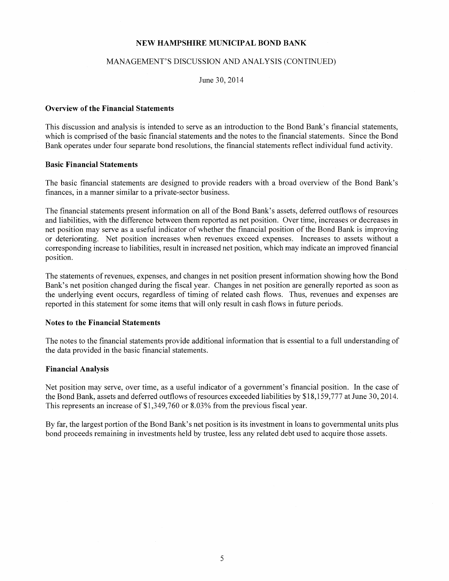#### MANAGEMENT'S DISCUSSION AND ANALYSIS (CONTINUED)

June 30, 2014

#### **Overview of the Financial Statements**

This discussion and analysis is intended to serve as an introduction to the Bond Bank's financial statements, which is comprised of the basic financial statements and the notes to the financial statements. Since the Bond Bank operates under four separate bond resolutions, the financial statements reflect individual fund activity.

#### **Basic Financial Statements**

The basic financial statements are designed to provide readers with a broad overview of the Bond Bank's finances, in a manner similar to a private-sector business.

The financial statements present information on all of the Bond Bank's assets, deferred outflows ofresources and liabilities, with the difference between them reported as net position. Over time, increases or decreases in net position may serve as a useful indicator of whether the financial position of the Bond Bank is improving or deteriorating. Net position increases when revenues exceed expenses. Increases to assets without a corresponding increase to liabilities, result in increased net position, which may indicate an improved financial position.

The statements of revenues, expenses, and changes in net position present information showing how the Bond Bank's net position changed during the fiscal year. Changes in net position are generally reported as soon as the underlying event occurs, regardless of timing of related cash flows. Thus, revenues and expenses are reported in this statement for some items that will only result in cash flows in future periods.

#### **Notes to the Financial Statements**

The notes to the financial statements provide additional information that is essential to a full understanding of the data provided in the basic financial statements.

#### **Financial Analysis**

Net position may serve, over time, as a useful indicator of a government's financial position. In the case of the Bond Bank, assets and deferred outflows of resources exceeded liabilities by \$18,159,777 at June 30, 2014. This represents an increase of \$1,349,760 or 8.03% from the previous fiscal year.

By far, the largest portion of the Bond Bank's net position is its investment in loans to governmental units plus bond proceeds remaining in investments held by trustee, less any related debt used to acquire those assets.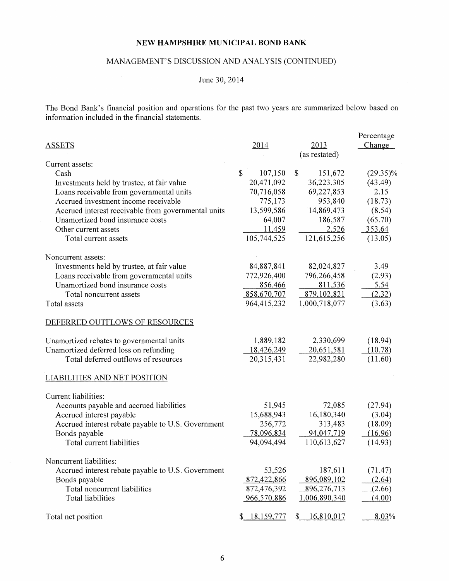# MANAGEMENT'S DISCUSSION AND ANALYSIS (CONTINUED)

# June 30, 2014

The Bond Bank's financial position and operations for the past two years are summarized below based on information included in the financial statements.

|                                                     |               |                          | Percentage  |
|-----------------------------------------------------|---------------|--------------------------|-------------|
| <b>ASSETS</b>                                       | 2014          | 2013                     | Change      |
|                                                     |               | (as restated)            |             |
| Current assets:                                     |               |                          |             |
| Cash                                                | \$<br>107,150 | $\mathcal{S}$<br>151,672 | $(29.35)\%$ |
| Investments held by trustee, at fair value          | 20,471,092    | 36,223,305               | (43.49)     |
| Loans receivable from governmental units            | 70,716,058    | 69,227,853               | 2.15        |
| Accrued investment income receivable                | 775,173       | 953,840                  | (18.73)     |
| Accrued interest receivable from governmental units | 13,599,586    | 14,869,473               | (8.54)      |
| Unamortized bond insurance costs                    | 64,007        | 186,587                  | (65.70)     |
| Other current assets                                | 11,459        | 2,526                    | 353.64      |
| Total current assets                                | 105,744,525   | 121,615,256              | (13.05)     |
| Noncurrent assets:                                  |               |                          |             |
| Investments held by trustee, at fair value          | 84,887,841    | 82,024,827               | 3.49        |
| Loans receivable from governmental units            | 772,926,400   | 796,266,458              | (2.93)      |
| Unamortized bond insurance costs                    | 856,466       | 811,536                  | 5.54        |
| Total noncurrent assets                             | 858,670,707   | 879,102,821              | (2.32)      |
| Total assets                                        | 964,415,232   | 1,000,718,077            | (3.63)      |
| DEFERRED OUTFLOWS OF RESOURCES                      |               |                          |             |
| Unamortized rebates to governmental units           | 1,889,182     | 2,330,699                | (18.94)     |
| Unamortized deferred loss on refunding              | 18,426,249    | 20,651,581               | (10.78)     |
| Total deferred outflows of resources                | 20,315,431    | 22,982,280               | (11.60)     |
| <b>LIABILITIES AND NET POSITION</b>                 |               |                          |             |
| Current liabilities:                                |               |                          |             |
| Accounts payable and accrued liabilities            | 51,945        | 72,085                   | (27.94)     |
| Accrued interest payable                            | 15,688,943    | 16,180,340               | (3.04)      |
| Accrued interest rebate payable to U.S. Government  | 256,772       | 313,483                  | (18.09)     |
| Bonds payable                                       | 78,096,834    | 94,047,719               | (16.96)     |
| Total current liabilities                           | 94,094,494    | 110,613,627              | (14.93)     |
| Noncurrent liabilities:                             |               |                          |             |
| Accrued interest rebate payable to U.S. Government  | 53,526        | 187,611                  | (71.47)     |
| Bonds payable                                       | 872,422,866   | 896,089,102              | (2.64)      |
| Total noncurrent liabilities                        | 872,476,392   | 896,276,713              | (2.66)      |
| Total liabilities                                   | 966,570,886   | 1,006,890,340            | (4.00)      |
| Total net position                                  | \$18,159,777  | 16,810,017<br>$S_{-}$    | $8.03\%$    |

 $\sim$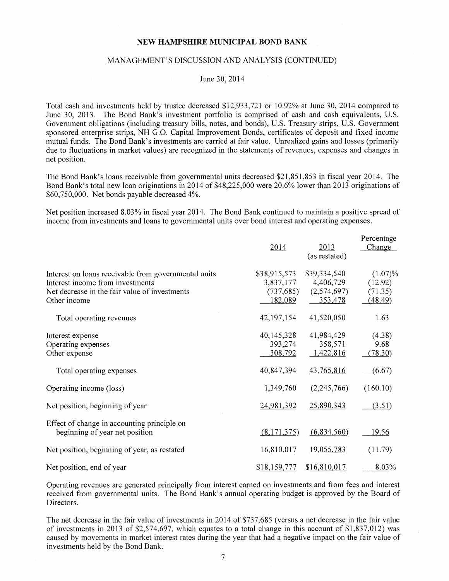#### MANAGEMENT'S DISCUSSION AND ANALYSIS (CONTINUED)

June 30, 2014

Total cash and investments held by trustee decreased \$12,933,721 or 10.92% at June 30, 2014 compared to June 30, 2013. The Bond Bank's investment portfolio is comprised of cash and cash equivalents, U.S. Government obligations (including treasury bills, notes, and bonds), U.S. Treasury strips, U.S. Government sponsored enterprise strips, NH G.O. Capital Improvement Bonds, certificates of deposit and fixed income mutual funds. The Bond Bank's investments are carried at fair value. Unrealized gains and losses (primarily due to fluctuations in market values) are recognized in the statements of revenues, expenses and changes in net position.

The Bond Bank's loans receivable from governmental units decreased \$21,851,853 in fiscal year 2014. The Bond Bank's total new loan originations in 2014 of \$48,225,000 were 20.6% lower than 2013 originations of \$60,750,000. Net bonds payable decreased 4%.

Net position increased 8.03% in fiscal year 2014. The Bond Bank continued to maintain a positive spread of income from investments and loans to governmental units over bond interest and operating expenses.

|                                                                               | 2014         | 2013<br>(as restated) | Percentage<br>Change |  |
|-------------------------------------------------------------------------------|--------------|-----------------------|----------------------|--|
| Interest on loans receivable from governmental units                          | \$38,915,573 | \$39,334,540          | $(1.07)\%$           |  |
| Interest income from investments                                              | 3,837,177    | 4,406,729             | (12.92)              |  |
| Net decrease in the fair value of investments                                 | (737,685)    | (2,574,697)           | (71.35)              |  |
| Other income                                                                  | 182,089      | 353,478               | (48.49)              |  |
| Total operating revenues                                                      | 42,197,154   | 41,520,050            | 1.63                 |  |
| Interest expense                                                              | 40,145,328   | 41,984,429            | (4.38)               |  |
| Operating expenses                                                            | 393,274      | 358,571               | 9.68                 |  |
| Other expense                                                                 | 308,792      | 1,422,816             | (78.30)              |  |
| Total operating expenses                                                      | 40,847,394   | 43,765,816            | (6.67)               |  |
| Operating income (loss)                                                       | 1,349,760    | (2,245,766)           | (160.10)             |  |
| Net position, beginning of year                                               | 24,981,392   | 25,890,343            | (3.51)               |  |
| Effect of change in accounting principle on<br>beginning of year net position | (8,171,375)  | (6,834,560)           | <u>19.56</u>         |  |
| Net position, beginning of year, as restated                                  | 16,810,017   | 19,055,783            | (11.79)              |  |
| Net position, end of year                                                     | \$18,159,777 | \$16,810,017          | 8.03%                |  |

Operating revenues are generated principally from interest earned on investments and from fees and interest received from governmental units. The Bond Bank's annual operating budget is approved by the Board of Directors.

The net decrease in the fair value of investments in 2014 of \$737,685 (versus a net decrease in the fair value of investments in 2013 of \$2,574,697, which equates to a total change in this account of \$1,837,012) was caused by movements in market interest rates during the year that had a negative impact on the fair value of investments held by the Bond Bank.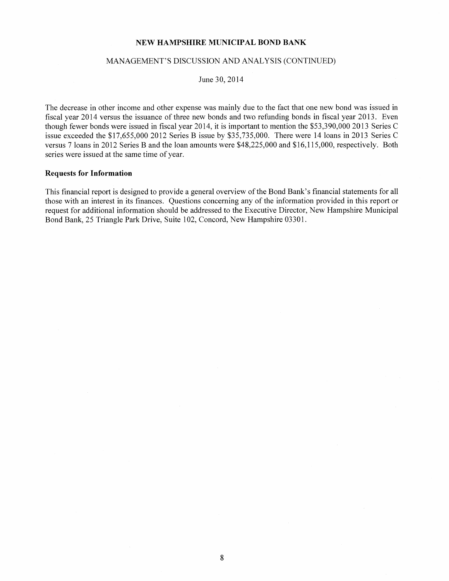## MANAGEMENT'S DISCUSSION AND ANALYSIS (CONTINUED)

June 30, 2014

The decrease in other income and other expense was mainly due to the fact that one new bond was issued in fiscal year 2014 versus the issuance of three new bonds and two refunding bonds in fiscal year 2013. Even though fewer bonds were issued in fiscal year 2014, it is important to mention the \$53,390,000 2013 Series C issue exceeded the \$17,655,000 2012 Series B issue by \$35,735,000. There were 14 loans in 2013 Series C versus 7 loans in 2012 Series Band the loan amounts were \$48,225,000 and \$16,115,000, respectively. Both series were issued at the same time of year.

#### **Requests for Information**

This financial report is designed to provide a general overview of the Bond Bank's financial statements for all those with an interest in its finances. Questions concerning any of the information provided in this report or request for additional information should be addressed to the Executive Director, New Hampshire Municipal Bond Bank, 25 Triangle Park Drive, Suite 102, Concord, New Hampshire 03301.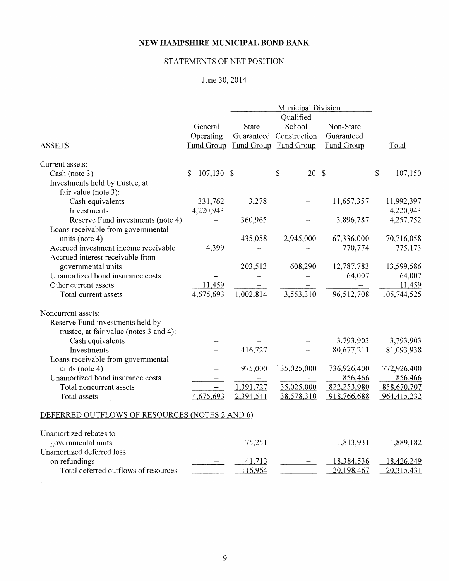## STATEMENTS OF NET POSITION

# June 30, 2014

|                                                |                    |              | Qualified               |                   |               |
|------------------------------------------------|--------------------|--------------|-------------------------|-------------------|---------------|
|                                                | General            | <b>State</b> | School                  | Non-State         |               |
|                                                | Operating          |              | Guaranteed Construction | Guaranteed        |               |
| <b>ASSETS</b>                                  | Fund Group         |              | Fund Group Fund Group   | <b>Fund Group</b> | Total         |
| Current assets:                                |                    |              |                         |                   |               |
| Cash (note 3)                                  | $107,130$ \$<br>\$ |              | \$<br>20S               |                   | \$<br>107,150 |
| Investments held by trustee, at                |                    |              |                         |                   |               |
| fair value (note 3):                           |                    |              |                         |                   |               |
| Cash equivalents                               | 331,762            | 3,278        |                         | 11,657,357        | 11,992,397    |
| Investments                                    | 4,220,943          |              |                         |                   | 4,220,943     |
| Reserve Fund investments (note 4)              |                    | 360,965      |                         | 3,896,787         | 4,257,752     |
| Loans receivable from governmental             |                    |              |                         |                   |               |
| units (note 4)                                 |                    | 435,058      | 2,945,000               | 67,336,000        | 70,716,058    |
| Accrued investment income receivable           | 4,399              |              |                         | 770,774           | 775,173       |
| Accrued interest receivable from               |                    |              |                         |                   |               |
| governmental units                             |                    | 203,513      | 608,290                 | 12,787,783        | 13,599,586    |
| Unamortized bond insurance costs               |                    |              |                         | 64,007            | 64,007        |
| Other current assets                           | 11,459             |              |                         |                   | 11,459        |
| Total current assets                           | 4,675,693          | 1,002,814    | 3,553,310               | 96,512,708        | 105,744,525   |
| Noncurrent assets:                             |                    |              |                         |                   |               |
| Reserve Fund investments held by               |                    |              |                         |                   |               |
| trustee, at fair value (notes 3 and 4):        |                    |              |                         |                   |               |
| Cash equivalents                               |                    |              |                         | 3,793,903         | 3,793,903     |
| Investments                                    |                    | 416,727      |                         | 80,677,211        | 81,093,938    |
| Loans receivable from governmental             |                    |              |                         |                   |               |
| units (note 4)                                 |                    | 975,000      | 35,025,000              | 736,926,400       | 772,926,400   |
| Unamortized bond insurance costs               |                    |              |                         | 856,466           | 856,466       |
| Total noncurrent assets                        | ÷.                 | 1,391,727    | 35,025,000              | 822,253,980       | 858,670,707   |
| Total assets                                   | 4,675,693          | 2,394,541    | 38,578,310              | 918,766,688       | 964,415,232   |
| DEFERRED OUTFLOWS OF RESOURCES (NOTES 2 AND 6) |                    |              |                         |                   |               |
| Unamortized rebates to                         |                    |              |                         |                   |               |
| governmental units                             |                    | 75,251       |                         | 1,813,931         | 1,889,182     |
| Unamortized deferred loss                      |                    |              |                         |                   |               |
| on refundings                                  |                    | 41,713       |                         | 18,384,536        | 18,426,249    |
| Total deferred outflows of resources           |                    | 116,964      |                         | 20,198,467        | 20,315,431    |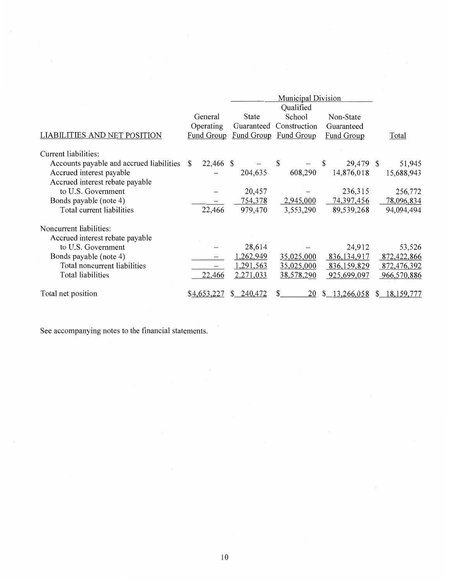|                                          |                |               | Qualified    |                   |             |
|------------------------------------------|----------------|---------------|--------------|-------------------|-------------|
|                                          | General        | State         | School       | Non-State         |             |
|                                          | Operating      | Guaranteed    | Construction | Guaranteed        |             |
| <b>LIABILITIES AND NET POSITION</b>      | Fund Group     | Fund Group    | Fund Group   | <b>Fund Group</b> | Total       |
| Current liabilities:                     |                |               |              |                   |             |
| Accounts payable and accrued liabilities | 22,466 \$<br>S |               | \$           | \$<br>29,479 \$   | 51,945      |
| Accrued interest payable                 |                | 204,635       | 608,290      | 14,876,018        | 15,688,943  |
| Accrued interest rebate payable          |                |               |              |                   |             |
| to U.S. Government                       |                | 20,457        |              | 236,315           | 256,772     |
| Bonds payable (note 4)                   |                | 754,378       | 2,945,000    | 74,397,456        | 78,096,834  |
| Total current liabilities                | 22,466         | 979,470       | 3,553,290    | 89,539,268        | 94,094,494  |
| Noncurrent liabilities:                  |                |               |              |                   |             |
| Accrued interest rebate payable          |                |               |              |                   |             |
| to U.S. Government                       |                | 28,614        |              | 24,912            | 53,526      |
| Bonds payable (note 4)                   |                | ,262,949      | 35,025,000   | 836,134,917       | 872,422,866 |
| Total noncurrent liabilities             |                | 1,291,563     | 35,025,000   | 836,159,829       | 872,476,392 |
| Total liabilities                        | 22,466         | 2,271,033     | 38,578,290   | 925,699,097       | 966,570,886 |
| Total net position                       | \$4,653,227    | 240,472<br>S. | S<br>20      | 13,266,058<br>S.  | 18,159,777  |

 $\overline{\phantom{a}}$ 

See accompanying notes to the financial statements.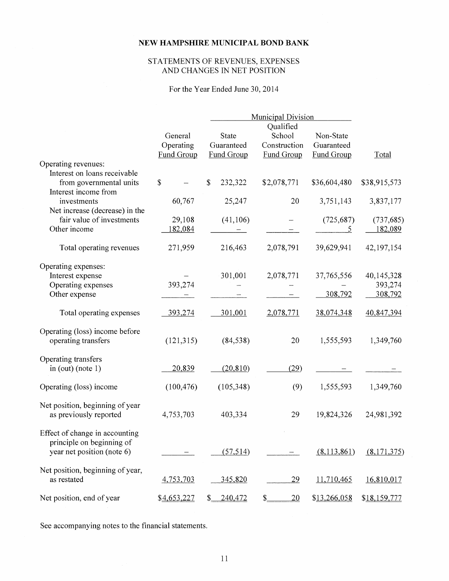## STATEMENTS OF REVENUES, EXPENSES AND CHANGES IN NET POSITION

For the Year Ended June 30, 2014

| <b>Municipal Division</b>                                                                 |                                           |                                          |                                                          |                                              |                                  |  |  |  |
|-------------------------------------------------------------------------------------------|-------------------------------------------|------------------------------------------|----------------------------------------------------------|----------------------------------------------|----------------------------------|--|--|--|
| Operating revenues:                                                                       | General<br>Operating<br><b>Fund Group</b> | State<br>Guaranteed<br><b>Fund Group</b> | Qualified<br>School<br>Construction<br><b>Fund Group</b> | Non-State<br>Guaranteed<br><b>Fund Group</b> | Total                            |  |  |  |
| Interest on loans receivable<br>from governmental units<br>Interest income from           | \$                                        | $\mathbb{S}$<br>232,322                  | \$2,078,771                                              | \$36,604,480                                 | \$38,915,573                     |  |  |  |
| investments<br>Net increase (decrease) in the                                             | 60,767                                    | 25,247                                   | 20                                                       | 3,751,143                                    | 3,837,177                        |  |  |  |
| fair value of investments<br>Other income                                                 | 29,108<br>182,084                         | (41, 106)                                | $\overline{\phantom{0}}$                                 | (725, 687)<br><u>5</u>                       | (737, 685)<br>182,089            |  |  |  |
| Total operating revenues                                                                  | 271,959                                   | 216,463                                  | 2,078,791                                                | 39,629,941                                   | 42, 197, 154                     |  |  |  |
| Operating expenses:<br>Interest expense<br>Operating expenses<br>Other expense            | 393,274                                   | 301,001                                  | 2,078,771                                                | 37,765,556<br>308,792                        | 40,145,328<br>393,274<br>308,792 |  |  |  |
| Total operating expenses                                                                  | 393,274                                   | 301,001                                  | 2,078,771                                                | 38,074,348                                   | 40,847,394                       |  |  |  |
| Operating (loss) income before<br>operating transfers                                     | (121,315)                                 | (84, 538)                                | 20                                                       | 1,555,593                                    | 1,349,760                        |  |  |  |
| Operating transfers<br>in (out) (note $1$ )                                               | 20,839                                    | (20, 810)                                | (29)                                                     |                                              |                                  |  |  |  |
| Operating (loss) income                                                                   | (100, 476)                                | (105,348)                                | (9)                                                      | 1,555,593                                    | 1,349,760                        |  |  |  |
| Net position, beginning of year<br>as previously reported                                 | 4,753,703                                 | 403,334                                  | 29                                                       | 19,824,326                                   | 24,981,392                       |  |  |  |
| Effect of change in accounting<br>principle on beginning of<br>year net position (note 6) |                                           | (57, 514)                                |                                                          | (8, 113, 861)                                | (8,171,375)                      |  |  |  |
| Net position, beginning of year,<br>as restated                                           | 4,753,703                                 | 345,820                                  | 29                                                       | 11,710,465                                   | 16,810,017                       |  |  |  |
| Net position, end of year                                                                 | \$4,653,227                               | $S_{-}$<br>240,472                       | $\frac{1}{2}$<br>20                                      | \$13,266,058                                 | \$18,159,777                     |  |  |  |

See accompanying notes to the financial statements.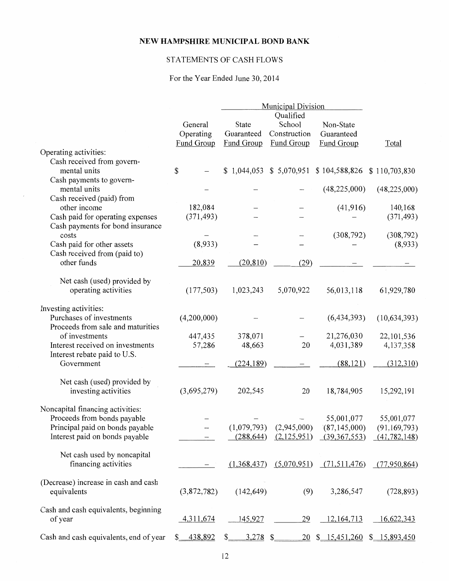# STATEMENTS OF CASH FLOWS

For the Year Ended June 30, 2014

|                                        |             |                       | Municipal Division |                                                     |                |
|----------------------------------------|-------------|-----------------------|--------------------|-----------------------------------------------------|----------------|
|                                        |             |                       | Qualified          |                                                     |                |
|                                        | General     | State                 | School             | Non-State                                           |                |
|                                        | Operating   | Guaranteed            | Construction       | Guaranteed                                          |                |
|                                        | Fund Group  | Fund Group            | Fund Group         | Fund Group                                          | Total          |
| Operating activities:                  |             |                       |                    |                                                     |                |
| Cash received from govern-             |             |                       |                    |                                                     |                |
| mental units                           | \$          |                       |                    | \$1,044,053 \$5,070,951 \$104,588,826 \$110,703,830 |                |
| Cash payments to govern-               |             |                       |                    |                                                     |                |
| mental units                           |             |                       |                    | (48, 225, 000)                                      | (48, 225, 000) |
| Cash received (paid) from              |             |                       |                    |                                                     |                |
| other income                           | 182,084     |                       |                    | (41, 916)                                           | 140,168        |
| Cash paid for operating expenses       | (371, 493)  |                       |                    |                                                     | (371, 493)     |
| Cash payments for bond insurance       |             |                       |                    |                                                     |                |
| costs                                  |             |                       |                    | (308, 792)                                          | (308, 792)     |
| Cash paid for other assets             | (8,933)     |                       |                    |                                                     | (8,933)        |
| Cash received from (paid to)           |             |                       |                    |                                                     |                |
| other funds                            | 20,839      | (20, 810)             | (29)               |                                                     |                |
|                                        |             |                       |                    |                                                     |                |
| Net cash (used) provided by            |             |                       |                    |                                                     |                |
| operating activities                   | (177, 503)  | 1,023,243             | 5,070,922          | 56,013,118                                          | 61,929,780     |
|                                        |             |                       |                    |                                                     |                |
| Investing activities:                  |             |                       |                    |                                                     |                |
| Purchases of investments               | (4,200,000) |                       |                    | (6,434,393)                                         | (10, 634, 393) |
| Proceeds from sale and maturities      |             |                       |                    |                                                     |                |
| of investments                         | 447,435     | 378,071               |                    | 21,276,030                                          | 22,101,536     |
| Interest received on investments       | 57,286      | 48,663                | 20                 | 4,031,389                                           | 4,137,358      |
| Interest rebate paid to U.S.           |             |                       |                    |                                                     |                |
| Government                             |             | (224, 189)            |                    | (88, 121)                                           | (312,310)      |
|                                        |             |                       |                    |                                                     |                |
| Net cash (used) provided by            |             |                       |                    |                                                     |                |
| investing activities                   | (3,695,279) | 202,545               | 20                 | 18,784,905                                          | 15,292,191     |
|                                        |             |                       |                    |                                                     |                |
| Noncapital financing activities:       |             |                       |                    |                                                     |                |
| Proceeds from bonds payable            |             |                       |                    | 55,001,077                                          | 55,001,077     |
| Principal paid on bonds payable        |             | (1,079,793)           | (2,945,000)        | (87, 145, 000)                                      | (91, 169, 793) |
| Interest paid on bonds payable         |             | (288, 644)            |                    | $(2,125,951)$ $(39,367,553)$                        | (41, 782, 148) |
|                                        |             |                       |                    |                                                     |                |
| Net cash used by noncapital            |             |                       |                    |                                                     |                |
| financing activities                   |             | (1,368,437)           | (5,070,951)        | (71,511,476)                                        | (77,950,864)   |
|                                        |             |                       |                    |                                                     |                |
| (Decrease) increase in cash and cash   |             |                       |                    |                                                     |                |
| equivalents                            | (3,872,782) | (142, 649)            | (9)                | 3,286,547                                           | (728, 893)     |
|                                        |             |                       |                    |                                                     |                |
| Cash and cash equivalents, beginning   |             |                       |                    |                                                     |                |
| of year                                | 4,311,674   | 145,927               | 29                 | 12,164,713                                          | 16,622,343     |
|                                        |             |                       |                    |                                                     |                |
| Cash and cash equivalents, end of year | \$438,892   | $3,278$ \$<br>$S_{-}$ |                    | 20 \$ 15,451,260 \$ 15,893,450                      |                |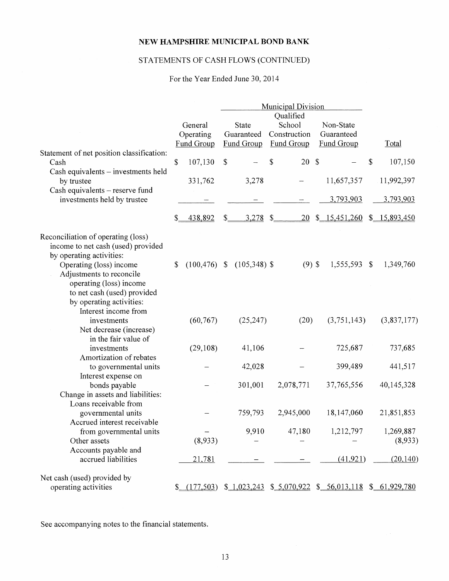# STATEMENTS OF CASH FLOWS (CONTINUED)

For the Year Ended June 30, 2014

|                                           |    |            | <b>Municipal Division</b> |                                 |              |                   |  |              |    |                                                                                   |
|-------------------------------------------|----|------------|---------------------------|---------------------------------|--------------|-------------------|--|--------------|----|-----------------------------------------------------------------------------------|
|                                           |    |            |                           |                                 | Qualified    |                   |  |              |    |                                                                                   |
|                                           |    | General    | <b>State</b>              |                                 | School       |                   |  | Non-State    |    |                                                                                   |
|                                           |    | Operating  |                           | Guaranteed                      | Construction |                   |  | Guaranteed   |    |                                                                                   |
|                                           |    | Fund Group |                           | <b>Fund Group</b>               |              | <b>Fund Group</b> |  | Fund Group   |    | <b>Total</b>                                                                      |
| Statement of net position classification: |    |            |                           |                                 |              |                   |  |              |    |                                                                                   |
| Cash                                      | \$ | 107,130    | $\mathsf{\$}$             |                                 | \$           | 20S               |  |              | \$ | 107,150                                                                           |
| Cash equivalents – investments held       |    |            |                           |                                 |              |                   |  |              |    |                                                                                   |
| by trustee                                |    | 331,762    |                           | 3,278                           |              | -                 |  | 11,657,357   |    | 11,992,397                                                                        |
| Cash equivalents - reserve fund           |    |            |                           |                                 |              |                   |  |              |    |                                                                                   |
| investments held by trustee               |    |            |                           |                                 |              |                   |  | 3,793,903    |    | 3,793,903                                                                         |
|                                           |    |            |                           |                                 |              |                   |  |              |    |                                                                                   |
|                                           |    | 438,892    | $S_{-}$                   | 3,278                           | S            | 20                |  | \$15,451,260 |    | \$ 15,893,450                                                                     |
|                                           |    |            |                           |                                 |              |                   |  |              |    |                                                                                   |
| Reconciliation of operating (loss)        |    |            |                           |                                 |              |                   |  |              |    |                                                                                   |
| income to net cash (used) provided        |    |            |                           |                                 |              |                   |  |              |    |                                                                                   |
| by operating activities:                  |    |            |                           |                                 |              |                   |  |              |    |                                                                                   |
| Operating (loss) income                   | \$ |            |                           | $(100, 476)$ \$ $(105, 348)$ \$ |              | $(9)$ \$          |  | 1,555,593 \$ |    | 1,349,760                                                                         |
| Adjustments to reconcile                  |    |            |                           |                                 |              |                   |  |              |    |                                                                                   |
| operating (loss) income                   |    |            |                           |                                 |              |                   |  |              |    |                                                                                   |
| to net cash (used) provided               |    |            |                           |                                 |              |                   |  |              |    |                                                                                   |
| by operating activities:                  |    |            |                           |                                 |              |                   |  |              |    |                                                                                   |
| Interest income from                      |    |            |                           |                                 |              |                   |  |              |    |                                                                                   |
| investments                               |    | (60, 767)  |                           | (25, 247)                       |              | (20)              |  | (3,751,143)  |    | (3,837,177)                                                                       |
| Net decrease (increase)                   |    |            |                           |                                 |              |                   |  |              |    |                                                                                   |
| in the fair value of                      |    |            |                           |                                 |              |                   |  |              |    |                                                                                   |
| investments                               |    | (29, 108)  |                           | 41,106                          |              |                   |  | 725,687      |    | 737,685                                                                           |
| Amortization of rebates                   |    |            |                           |                                 |              |                   |  |              |    |                                                                                   |
| to governmental units                     |    |            |                           | 42,028                          |              |                   |  | 399,489      |    | 441,517                                                                           |
| Interest expense on                       |    |            |                           |                                 |              |                   |  |              |    |                                                                                   |
| bonds payable                             |    |            |                           | 301,001                         |              | 2,078,771         |  | 37,765,556   |    | 40,145,328                                                                        |
| Change in assets and liabilities:         |    |            |                           |                                 |              |                   |  |              |    |                                                                                   |
| Loans receivable from                     |    |            |                           |                                 |              |                   |  |              |    |                                                                                   |
| governmental units                        |    |            |                           | 759,793                         |              | 2,945,000         |  | 18,147,060   |    | 21,851,853                                                                        |
| Accrued interest receivable               |    |            |                           |                                 |              |                   |  |              |    |                                                                                   |
| from governmental units                   |    |            |                           | 9,910                           |              | 47,180            |  | 1,212,797    |    | 1,269,887                                                                         |
| Other assets                              |    | (8,933)    |                           |                                 |              |                   |  |              |    | (8,933)                                                                           |
| Accounts payable and                      |    |            |                           |                                 |              |                   |  |              |    |                                                                                   |
| accrued liabilities                       |    | 21,781     |                           |                                 |              |                   |  | (41, 921)    |    | (20, 140)                                                                         |
|                                           |    |            |                           |                                 |              |                   |  |              |    |                                                                                   |
| Net cash (used) provided by               |    |            |                           |                                 |              |                   |  |              |    |                                                                                   |
| operating activities                      |    |            |                           |                                 |              |                   |  |              |    | $$$ $(177,503)$ $$$ $1,023,243$ $$$ $5,070,922$ $$$ $56,013,118$ $$$ $61,929,780$ |

See accompanying notes to the financial statements.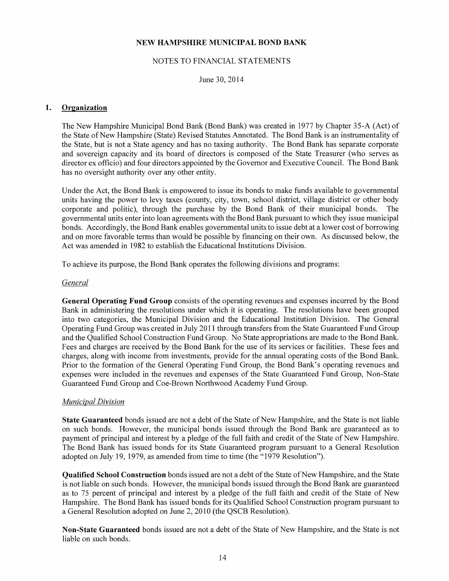#### NOTES TO FINANCIAL STATEMENTS

June 30, 2014

#### **1. Organization**

The New Hampshire Municipal Bond Bank (Bond Bank) was created in 1977 by Chapter 35-A (Act) of the State of New Hampshire (State) Revised Statutes Annotated. The Bond Bank is an instrumentality of the State, but is not a State agency and has no taxing authority. The Bond Bank has separate corporate and sovereign capacity and its board of directors is composed of the State Treasurer (who serves as director ex officio) and four directors appointed by the Governor and Executive Council. The Bond Bank has no oversight authority over any other entity.

Under the Act, the Bond Bank is empowered to issue its bonds to make funds available to governmental units having the power to levy taxes (county, city, town, school district, village district or other body corporate and politic), through the purchase by the Bond Bank of their municipal bonds. The governmental units enter into loan agreements with the Bond Bank pursuant to which they issue municipal bonds. Accordingly, the Bond Bank enables governmental units to issue debt at a lower cost of borrowing and on more favorable terms than would be possible by financing on their own. As discussed below, the Act was amended in 1982 to establish the Educational Institutions Division.

To achieve its purpose, the Bond Bank operates the following divisions and programs:

## *General*

**General Operating Fund Group** consists of the operating revenues and expenses incurred by the Bond Bank in administering the resolutions under which it is operating. The resolutions have been grouped into two categories, the Municipal Division and the Educational Institution Division. The General Operating Fund Group was created in July 2011 through transfers from the State Guaranteed Fund Group and the Qualified School Construction Fund Group. No State appropriations are made to the Bond Bank. Fees and charges are received by the Bond Bank for the use of its services or facilities. These fees and charges, along with income from investments, provide for the annual operating costs of the Bond Bank. Prior to the formation of the General Operating Fund Group, the Bond Bank's operating revenues and expenses were included in the revenues and expenses of the State Guaranteed Fund Group, Non-State Guaranteed Fund Group and Coe-Brown Northwood Academy Fund Group.

#### *Municipal Division*

**State Guaranteed** bonds issued are not a debt of the State of New Hampshire, and the State is not liable on such bonds. However, the municipal bonds issued through the Bond Bank are guaranteed as to payment of principal and interest by a pledge of the full faith and credit of the State of New Hampshire. The Bond Bank has issued bonds for its State Guaranteed program pursuant to a General Resolution adopted on July 19, 1979, as amended from time to time (the "1979 Resolution").

**Qualified School Construction** bonds issued are not a debt of the State of New Hampshire, and the State is not liable on such bonds. However, the municipal bonds issued through the Bond Bank are guaranteed as to 75 percent of principal and interest by a pledge of the full faith and credit of the State of New Hampshire. The Bond Bank has issued bonds for its Qualified School Construction program pursuant to a General Resolution adopted on June 2, 2010 (the QSCB Resolution).

**Non-State Guaranteed** bonds issued are not a debt of the State of New Hampshire, and the State is not liable on such bonds.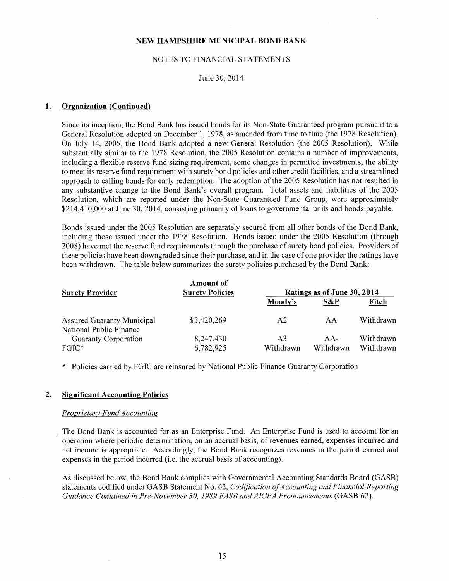#### NOTES TO FINANCIAL STATEMENTS

June 30, 2014

## **1. Organization (Continued)**

Since its inception, the Bond Bank has issued bonds for its Non-State Guaranteed program pursuant to a General Resolution adopted on December 1, 1978, as amended from time to time (the 1978 Resolution). On July 14, 2005, the Bond Bank adopted a new General Resolution (the 2005 Resolution). While substantially similar to the 1978 Resolution, the 2005 Resolution contains a number of improvements, including a flexible reserve fund sizing requirement, some changes in permitted investments, the ability to meet its reserve fund requirement with surety bond policies and other credit facilities, and a streamlined approach to calling bonds for early redemption. The adoption of the 2005 Resolution has not resulted in any substantive change to the Bond Bank's overall program. Total assets and liabilities of the 2005 Resolution, which are reported under the Non-State Guaranteed Fund Group, were approximately \$214,410,000 at June 30, 2014, consisting primarily of loans to governmental units and bonds payable.

Bonds issued under the 2005 Resolution are separately secured from all other bonds of the Bond Bank, including those issued under the 1978 Resolution. Bonds issued under the 2005 Resolution (through 2008) have met the reserve fund requirements through the purchase of surety bond policies. Providers of these policies have been downgraded since their purchase, and in the case of one provider the ratings have been withdrawn. The table below summarizes the surety policies purchased by the Bond Bank:

| <b>Surety Provider</b>                                       | <b>Amount of</b><br><b>Surety Policies</b> |                | Ratings as of June 30, 2014 |           |  |  |
|--------------------------------------------------------------|--------------------------------------------|----------------|-----------------------------|-----------|--|--|
|                                                              |                                            | Moody's        | <b>S&amp;P</b>              | Fitch     |  |  |
| <b>Assured Guaranty Municipal</b><br>National Public Finance | \$3,420,269                                | A <sub>2</sub> | AA                          | Withdrawn |  |  |
| <b>Guaranty Corporation</b>                                  | 8,247,430                                  | A3             | $AA-$                       | Withdrawn |  |  |
| $FGIC^*$                                                     | 6,782,925                                  | Withdrawn      | Withdrawn                   | Withdrawn |  |  |

\* Policies carried by FGIC are reinsured by National Public Finance Guaranty Corporation

#### **2. Significant Accounting Policies**

#### *Proprietary Fund Accounting*

. The Bond Bank is accounted for as an Enterprise Fund. An Enterprise Fund is used to account for an operation where periodic determination, on an accrual basis, of revenues earned, expenses incurred and net income is appropriate. Accordingly, the Bond Bank recognizes revenues in the period earned and expenses in the period incurred (i.e. the accrual basis of accounting).

As discussed below, the Bond Bank complies with Governmental Accounting Standards Board (GASB) statements codified under GASB Statement No. 62, *Codification of Accounting and Financial Reporting Guidance Contained in Pre-November 30, 1989 FASB and AICPA Pronouncements* (GASB 62).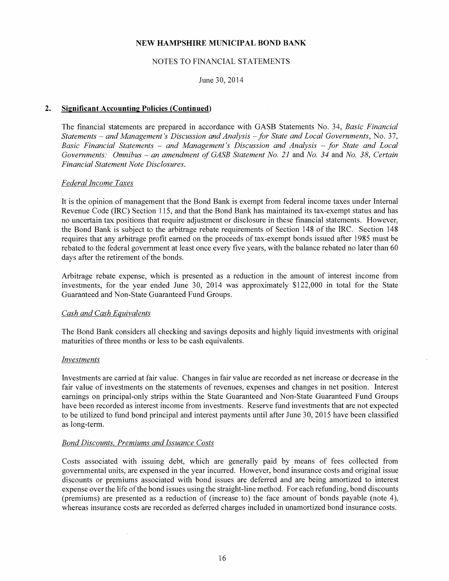#### NOTES TO FINANCIAL STATEMENTS

June 30, 2014

#### 2. Significant Accounting Policies (Continued)

The financial statements are prepared in accordance with GASB Statements No. 34, *Basic Financial Statements and Management's Discussion and Analysis* - *for State and Local Governments,* No. 37, *Basic Financial Statements – and Management's Discussion and Analysis – for State and Local Governments: Omnibus* - *an amendment of GASE Statement No. 21* and *No. 34* and *No. 38, Certain Financial Statement Note Disclosures.* 

#### *Federal Income Taxes*

It is the opinion of management that the Bond Bank is exempt from federal income taxes under Internal Revenue Code (IRC) Section 115, and that the Bond Bank has maintained its tax-exempt status and has no uncertain tax positions that require adjustment or disclosure in these financial statements. However, the Bond Bank is subject to the arbitrage rebate requirements of Section 148 of the IRC. Section 148 requires that any arbitrage profit earned on the proceeds of tax-exempt bonds issued after 1985 must be rebated to the federal government at least once every five years, with the balance rebated no later than 60 days after the retirement of the bonds.

Arbitrage rebate expense, which is presented as a reduction in the amount of interest income from investments, for the year ended June 30, 2014 was approximately \$122,000 in total for the State Guaranteed and Non-State Guaranteed Fund Groups.

## *Cash and Cash Equivalents*

The Bond Bank considers all checking and savings deposits and highly liquid investments with original maturities of three months or less to be cash equivalents.

#### *Investments*

Investments are carried at fair value. Changes in fair value are recorded as net increase or decrease in the fair value of investments on the statements of revenues, expenses and changes in net position. Interest earnings on principal-only strips within the State Guaranteed and Non-State Guaranteed Fund Groups have been recorded as interest income from investments. Reserve fund investments that are not expected to be utilized to fund bond principal and interest payments until after June 30, 2015 have been classified as long-term.

#### *Bond Discounts. Premiums and Issuance Costs*

Costs associated with issuing debt, which are generally paid by means of fees collected from governmental units, are expensed in the year incurred. However, bond insurance costs and original issue discounts or premiums associated with bond issues are deferred and are being amortized to interest expense over the life of the bond issues using the straight-line method. For each refunding, bond discounts (premiums) are presented as a reduction of (increase to) the face amount of bonds payable (note 4), whereas insurance costs are recorded as deferred charges included in unamortized bond insurance costs.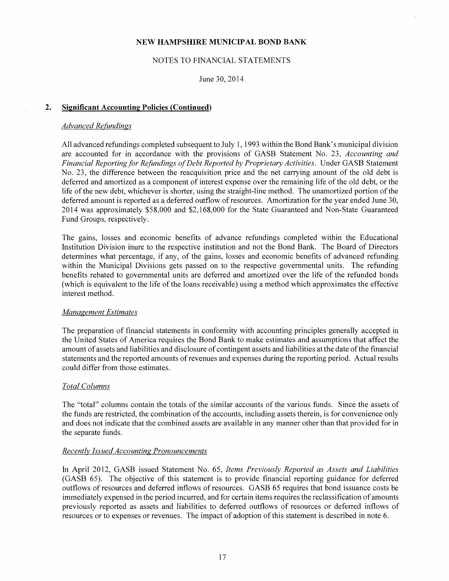## NOTES TO FINANCIAL STATEMENTS

June 30, 2014

## **2. Significant Accounting Policies (Continued)**

#### *Advanced Refundings*

All advanced refundings completed subsequent to July 1, 1993 within the Bond Bank's municipal division are accounted for in accordance with the provisions of GASB Statement No. 23, *Accounting and Financial Reporting for Refundings of Debt Reported by Proprietary Activities.* Under GASB Statement No. 23, the difference between the reacquisition price and the net carrying amount of the old debt is deferred and amortized as a component of interest expense over the remaining life of the old debt, or the life of the new debt, whichever is shorter, using the straight-line method. The unamortized portion of the deferred amount is reported as a deferred outflow of resources. Amortization for the year ended June 30, 2014 was approximately \$58,000 and \$2,168,000 for the State Guaranteed and Non-State Guaranteed Fund Groups, respectively.

The gains, losses and economic benefits of advance refundings completed within the Educational Institution Division inure to the respective institution and not the Bond Bank. The Board of Directors determines what percentage, if any, of the gains, losses and economic benefits of advanced refunding within the Municipal Divisions gets passed on to the respective governmental units. The refunding benefits rebated to governmental units are deferred and amortized over the life of the refunded bonds (which is equivalent to the life of the loans receivable) using a method which approximates the effective interest method.

#### *Management Estimates*

The preparation of financial statements in conformity with accounting principles generally accepted in the United States of America requires the Bond Bank to make estimates and assumptions that affect the amount of assets and liabilities and disclosure of contingent assets and liabilities at the date of the financial statements and the reported amounts of revenues and expenses during the reporting period. Actual results could differ from those estimates.

#### *Total Columns*

The "total" columns contain the totals of the similar accounts of the various funds. Since the assets of the funds are restricted, the combination of the accounts, including assets therein, is for convenience only and does not indicate that the combined assets are available in any manner other than that provided for in the separate funds.

#### *Recently Issued Accounting Pronouncements*

In April 2012, GASB issued Statement No. 65, *Items Previously Reported as Assets and Liabilities*  (GASB 65). The objective of this statement is to provide financial reporting guidance for deferred outflows of resources and deferred inflows of resources. GASB 65 requires that bond issuance costs be immediately expensed in the period incurred, and for certain items requires the reclassification of amounts previously reported as assets and liabilities to deferred outflows of resources or deferred inflows of resources or to expenses or revenues. The impact of adoption of this statement is described in note 6.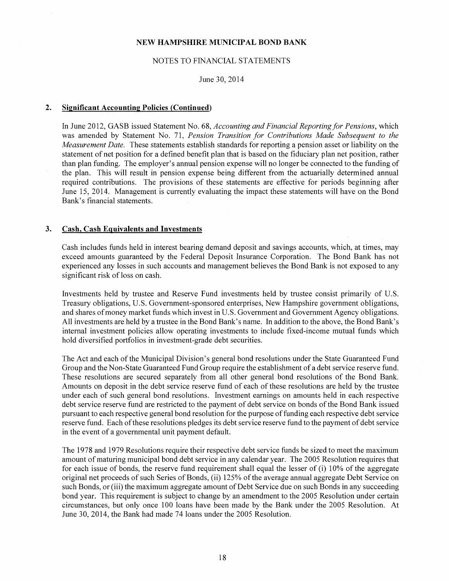## NOTES TO FINANCIAL STATEMENTS

June 30, 2014

#### 2. Significant Accounting Policies (Continued)

In June 2012, GASB issued Statement No. 68, *Accounting and Financial Reporting for Pensions,* which was amended by Statement No. 71, *Pension Transition for Contributions Made Subsequent to the Measurement Date.* These statements establish standards for reporting a pension asset or liability on the statement of net position for a defined benefit plan that is based on the fiduciary plan net position, rather than plan funding. The employer's annual pension expense will no longer be connected to the funding of the plan. This will result in pension expense being different from the actuarially determined annual required contributions. The provisions of these statements are effective for periods beginning after June 15, 2014. Management is currently evaluating the impact these statements will have on the Bond Bank's financial statements.

#### 3. Cash, Cash Equivalents and Investments

Cash includes funds held in interest bearing demand deposit and savings accounts, which, at times, may exceed amounts guaranteed by the Federal Deposit Insurance Corporation. The Bond Bank has not experienced any losses in such accounts and management believes the Bond Bank is not exposed to any significant risk of loss on cash.

Investments held by trustee and Reserve Fund investments held by trustee consist primarily of U.S. Treasury obligations, U.S. Government-sponsored enterprises, New Hampshire government obligations, and shares of money market funds which invest in U.S. Government and Government Agency obligations. All investments are held by a trustee in the Bond Bank's name. In addition to the above, the Bond Bank's internal investment policies allow operating investments to include fixed-income mutual funds which hold diversified portfolios in investment-grade debt securities.

The Act and each of the Municipal Division's general bond resolutions under the State Guaranteed Fund Group and the Non-State Guaranteed Fund Group require the establishment of a debt service reserve fund. These resolutions are secured separately from all other general bond resolutions of the Bond Bank. Amounts on deposit in the debt service reserve fund of each of these resolutions are held by the trustee under each of such general bond resolutions. Investment earnings on amounts held in each respective debt service reserve fund are restricted to the payment of debt service on bonds of the Bond Bank issued pursuant to each respective general bond resolution for the purpose of funding each respective debt service reserve fund. Each of these resolutions pledges its debt service reserve fund to the payment of debt service in the event of a governmental unit payment default.

The 1978 and 1979 Resolutions require their respective debt service funds be sized to meet the maximum amount of maturing municipal bond debt service in any calendar year. The 2005 Resolution requires that for each issue of bonds, the reserve fund requirement shall equal the lesser of (i) 10% of the aggregate original net proceeds of such Series of Bonds, (ii) 125% of the average annual aggregate Debt Service on such Bonds, or (iii) the maximum aggregate amount of Debt Service due on such Bonds in any succeeding bond year. This requirement is subject to change by an amendment to the 2005 Resolution under certain circumstances, but only once 100 loans have been made by the Bank under the 2005 Resolution. At June 30, 2014, the Bank had made 74 loans under the 2005 Resolution.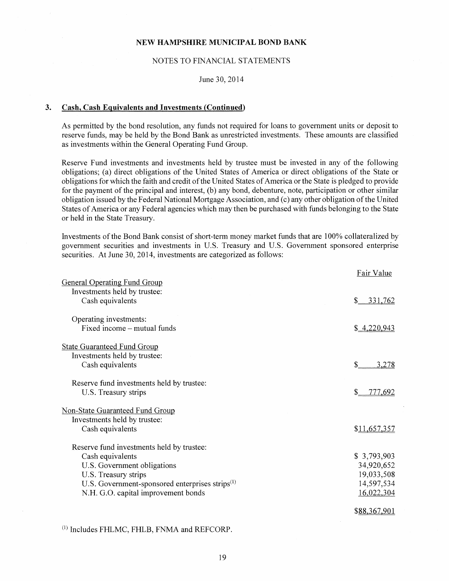## NOTES TO FINANCIAL STATEMENTS

#### June 30, 2014

#### **3. Cash, Cash Equivalents and Investments (Continued)**

As permitted by the bond resolution, any funds not required for loans to government units or deposit to reserve funds, may be held by the Bond Bank as unrestricted investments. These amounts are classified as investments within the General Operating Fund Group.

Reserve Fund investments and investments held by trustee must be invested in any of the following obligations; (a) direct obligations of the United States of America or direct obligations of the State or obligations for which the faith and credit of the United States of America or the State is pledged to provide for the payment of the principal and interest, (b) any bond, debenture, note, participation or other similar obligation issued by the Federal National Mortgage Association, and ( c) any other obligation of the United States of America or any Federal agencies which may then be purchased with funds belonging to the State or held in the State Treasury.

Investments of the Bond Bank consist of short-term money market funds that are 100% collateralized by government securities and investments in U.S. Treasury and U.S. Government sponsored enterprise securities. At June 30, 2014, investments are categorized as follows:

|                                                             | Fair Value     |
|-------------------------------------------------------------|----------------|
| <b>General Operating Fund Group</b>                         |                |
| Investments held by trustee:                                |                |
| Cash equivalents                                            | 331,762<br>S.  |
| Operating investments:                                      |                |
| Fixed income - mutual funds                                 | \$4,220,943    |
|                                                             |                |
| <b>State Guaranteed Fund Group</b>                          |                |
| Investments held by trustee:                                |                |
| Cash equivalents                                            | 3,278          |
|                                                             |                |
| Reserve fund investments held by trustee:                   |                |
| U.S. Treasury strips                                        | \$.<br>777.692 |
| <b>Non-State Guaranteed Fund Group</b>                      |                |
| Investments held by trustee:                                |                |
| Cash equivalents                                            | \$11,657,357   |
|                                                             |                |
| Reserve fund investments held by trustee:                   |                |
| Cash equivalents                                            | \$3,793,903    |
| U.S. Government obligations                                 | 34,920,652     |
| U.S. Treasury strips                                        | 19,033,508     |
| U.S. Government-sponsored enterprises strips <sup>(1)</sup> | 14,597,534     |
| N.H. G.O. capital improvement bonds                         | 16,022,304     |
|                                                             | \$88,367,901   |
|                                                             |                |

(I) Includes FHLMC, FHLB, FNMA and REFCORP.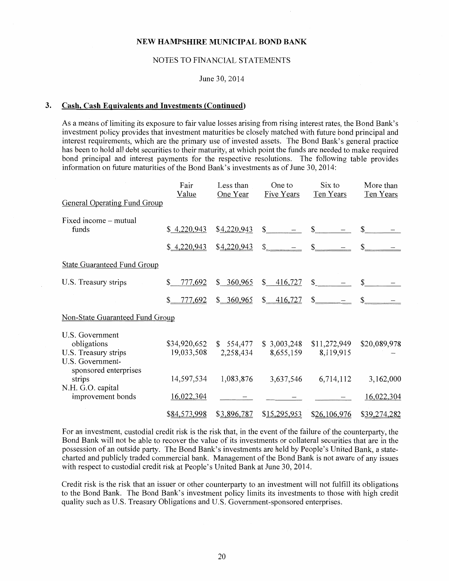#### NOTES TO FINANCIAL STATEMENTS

#### June 30, 2014

#### **3. Cash, Cash Equivalents and Investments (Continued)**

As a means of limiting its exposure to fair value losses arising from rising interest rates, the Bond Bank's investment policy provides that investment maturities be closely matched with future bond principal and interest requirements, which are the primary use of invested assets. The Bond Bank's general practice has been to hold all debt securities to their maturity, at which point the funds are needed to make required bond principal and interest payments for the respective resolutions. The following table provides information on future maturities of the Bond Bank's investments as of June 30, 2014:

|                                                                            | Fair<br>Value              | Less than<br>One Year  | One to<br>Five Years            | Six to<br>Ten Years       | More than<br>Ten Years |
|----------------------------------------------------------------------------|----------------------------|------------------------|---------------------------------|---------------------------|------------------------|
| <b>General Operating Fund Group</b>                                        |                            |                        |                                 |                           |                        |
| Fixed income – mutual<br>funds                                             | \$4,220,943                | \$4,220,943            | $\mathbb{S}$                    | $-$ \$                    | $\mathbb{S}$           |
|                                                                            | \$4,220,943                | \$4,220,943            | $\frac{\S_{\perp}}{\S_{\perp}}$ | $S_{\text{max}} =$        | $\sim$                 |
| <b>State Guaranteed Fund Group</b>                                         |                            |                        |                                 |                           |                        |
| U.S. Treasury strips                                                       | 777,692<br>\$              | \$360,965              | 416,727<br>$\mathbb{S}$         | $\mathbb{S}$              | $\mathcal{S}$          |
|                                                                            | \$<br>777,692              | \$360,965              | \$416,727                       | $S_{-}$                   |                        |
| Non-State Guaranteed Fund Group                                            |                            |                        |                                 |                           |                        |
| U.S. Government<br>obligations<br>U.S. Treasury strips<br>U.S. Government- | \$34,920,652<br>19,033,508 | \$554,477<br>2,258,434 | \$3,003,248<br>8,655,159        | \$11,272,949<br>8,119,915 | \$20,089,978           |
| sponsored enterprises<br>strips                                            | 14,597,534                 | 1,083,876              | 3,637,546                       | 6,714,112                 | 3,162,000              |
| N.H. G.O. capital<br>improvement bonds                                     | 16,022,304                 |                        |                                 |                           | 16,022,304             |
|                                                                            | \$84,573,998               | \$3,896,787            | \$15,295,953                    | \$26,106,976              | \$39,274,282           |

For an investment, custodial credit risk is the risk that, in the event of the failure of the counterparty, the Bond Bank will not be able to recover the value of its investments or collateral securities that are in the possession of an outside party. The Bond Bank's investments are held by People's United Bank, a statecharted and publicly traded commercial bank. Management of the Bond Bank is not aware of any issues with respect to custodial credit risk at People's United Bank at June 30, 2014.

Credit risk is the risk that an issuer or other counterparty to an investment will not fulfill its obligations to the Bond Bank. The Bond Bank's investment policy limits its investments to those with high credit quality such as U.S. Treasury Obligations and U.S. Government-sponsored enterprises.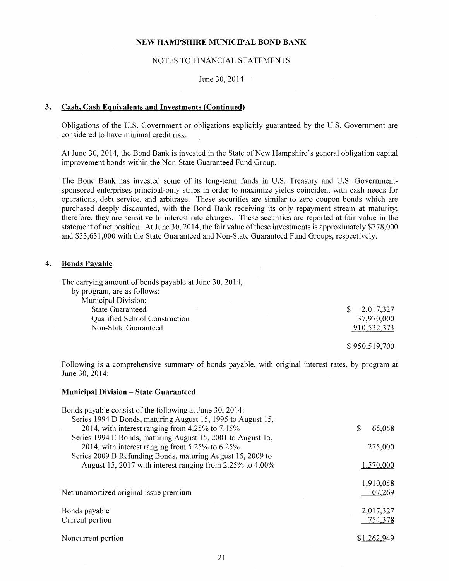## NOTES TO FINANCIAL STATEMENTS

#### June 30, 2014

#### **3. Cash, Cash Equivalents and Investments (Continued)**

Obligations of the U.S. Government or obligations explicitly guaranteed by the U.S. Government are considered to have minimal credit risk.

At June 30, 2014, the Bond Bank is invested in the State of New Hampshire's general obligation capital improvement bonds within the Non-State Guaranteed Fund Group.

The Bond Bank has invested some of its long-term funds in U.S. Treasury and U.S. Governmentsponsored enterprises principal-only strips in order to maximize yields coincident with cash needs for operations, debt service, and arbitrage. These securities are similar to zero coupon bonds which are purchased deeply discounted, with the Bond Bank receiving its only repayment stream at maturity; therefore, they are sensitive to interest rate changes. These securities are reported at fair value in the statement of net position. At June 30, 2014, the fair value of these investments is approximately \$778,000 and \$33,631,000 with the State Guaranteed and Non-State Guaranteed Fund Groups, respectively.

#### **4. Bonds Payable**

The carrying amount of bonds payable at June 30, 2014,

| by program, are as follows:   |             |
|-------------------------------|-------------|
| Municipal Division:           |             |
| <b>State Guaranteed</b>       | 2,017,327   |
| Qualified School Construction | 37,970,000  |
| Non-State Guaranteed          | 910,532,373 |
|                               |             |
|                               |             |

\$ 950 519.700

Following is a comprehensive summary of bonds payable, with original interest rates, by program at June 30, 2014:

#### **Municipal Division - State Guaranteed**

| Bonds payable consist of the following at June 30, 2014:    |              |
|-------------------------------------------------------------|--------------|
| Series 1994 D Bonds, maturing August 15, 1995 to August 15, |              |
| 2014, with interest ranging from 4.25% to 7.15%             | \$<br>65,058 |
| Series 1994 E Bonds, maturing August 15, 2001 to August 15, |              |
| 2014, with interest ranging from $5.25\%$ to $6.25\%$       | 275,000      |
| Series 2009 B Refunding Bonds, maturing August 15, 2009 to  |              |
| August 15, 2017 with interest ranging from 2.25% to 4.00%   | 1,570,000    |
|                                                             |              |
|                                                             | 1,910,058    |
| Net unamortized original issue premium                      | 107,269      |
|                                                             |              |
| Bonds payable                                               | 2,017,327    |
| Current portion                                             | 754,378      |
|                                                             |              |
| Noncurrent portion                                          | \$1,262,949  |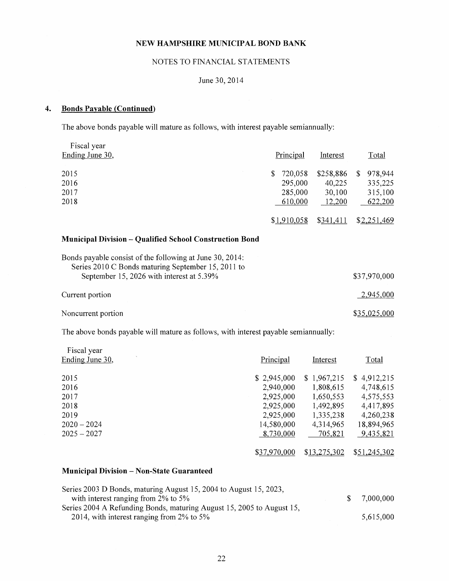## NOTES TO FINANCIAL STATEMENTS

## June 30, 2014

# **4. Bonds Payable (Continued)**

The above bonds payable will mature as follows, with interest payable semiannually:

| Fiscal year<br>Ending June 30,                                                                                                                              | Principal                                      | Interest                                |              | <b>Total</b>                             |
|-------------------------------------------------------------------------------------------------------------------------------------------------------------|------------------------------------------------|-----------------------------------------|--------------|------------------------------------------|
| 2015<br>2016<br>2017<br>2018                                                                                                                                | \$<br>720,058<br>295,000<br>285,000<br>610,000 | \$258,886<br>40,225<br>30,100<br>12,200 | $\mathbb{S}$ | 978,944<br>335,225<br>315,100<br>622,200 |
|                                                                                                                                                             | \$1,910,058                                    | \$341,411                               |              | \$2,251,469                              |
| <b>Municipal Division – Qualified School Construction Bond</b>                                                                                              |                                                |                                         |              |                                          |
| Bonds payable consist of the following at June 30, 2014.<br>Series 2010 C Bonds maturing September 15, 2011 to<br>September 15, 2026 with interest at 5.39% |                                                |                                         |              | \$37,970,000                             |
| Current portion                                                                                                                                             |                                                |                                         |              | 2,945,000                                |
| Noncurrent portion                                                                                                                                          |                                                |                                         |              | \$35,025,000                             |

The above bonds payable will mature as follows, with interest payable semiannually:

| Fiscal year<br>Ending June 30, | Principal    | Interest     | Total        |
|--------------------------------|--------------|--------------|--------------|
| 2015                           | \$2,945,000  | \$1,967,215  | \$4,912,215  |
| 2016                           | 2,940,000    | 1,808,615    | 4,748,615    |
| 2017                           | 2,925,000    | 1,650,553    | 4,575,553    |
| 2018                           | 2,925,000    | 1,492,895    | 4,417,895    |
| 2019                           | 2,925,000    | 1,335,238    | 4,260,238    |
| $2020 - 2024$                  | 14,580,000   | 4,314,965    | 18,894,965   |
| $2025 - 2027$                  | 8,730,000    | 705,821      | 9,435,821    |
|                                | \$37,970,000 | \$13,275,302 | \$51,245,302 |

# **Municipal Division - Non-State Guaranteed**

| 7,000,000 |
|-----------|
|           |
| 5,615,000 |
|           |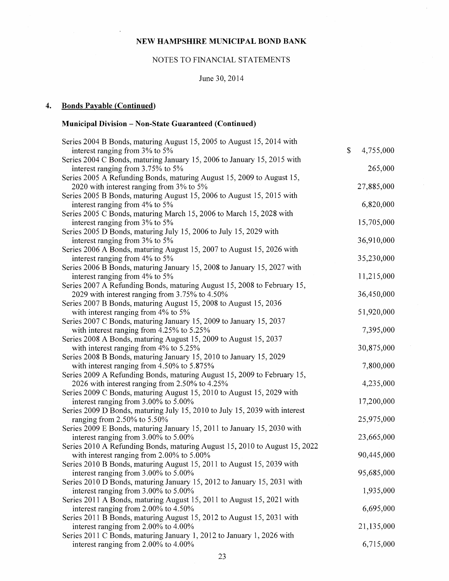## NOTES TO FINANCIAL STATEMENTS

# June 30, 2014

## 4. Bonds Payable (Continued)

# Municipal Division - Non-State Guaranteed (Continued)

| Series 2004 B Bonds, maturing August 15, 2005 to August 15, 2014 with      |                 |
|----------------------------------------------------------------------------|-----------------|
| interest ranging from 3% to 5%                                             | \$<br>4,755,000 |
| Series 2004 C Bonds, maturing January 15, 2006 to January 15, 2015 with    |                 |
| interest ranging from 3.75% to 5%                                          | 265,000         |
| Series 2005 A Refunding Bonds, maturing August 15, 2009 to August 15,      |                 |
| 2020 with interest ranging from 3% to 5%                                   | 27,885,000      |
| Series 2005 B Bonds, maturing August 15, 2006 to August 15, 2015 with      |                 |
| interest ranging from 4% to 5%                                             | 6,820,000       |
| Series 2005 C Bonds, maturing March 15, 2006 to March 15, 2028 with        |                 |
| interest ranging from 3% to 5%                                             | 15,705,000      |
| Series 2005 D Bonds, maturing July 15, 2006 to July 15, 2029 with          |                 |
| interest ranging from 3% to 5%                                             | 36,910,000      |
| Series 2006 A Bonds, maturing August 15, 2007 to August 15, 2026 with      |                 |
| interest ranging from 4% to 5%                                             | 35,230,000      |
| Series 2006 B Bonds, maturing January 15, 2008 to January 15, 2027 with    |                 |
| interest ranging from 4% to 5%                                             | 11,215,000      |
| Series 2007 A Refunding Bonds, maturing August 15, 2008 to February 15,    |                 |
| 2029 with interest ranging from 3.75% to 4.50%                             | 36,450,000      |
| Series 2007 B Bonds, maturing August 15, 2008 to August 15, 2036           |                 |
| with interest ranging from $4\%$ to 5%                                     | 51,920,000      |
| Series 2007 C Bonds, maturing January 15, 2009 to January 15, 2037         |                 |
| with interest ranging from 4.25% to 5.25%                                  | 7,395,000       |
| Series 2008 A Bonds, maturing August 15, 2009 to August 15, 2037           |                 |
| with interest ranging from $4\%$ to 5.25%                                  | 30,875,000      |
| Series 2008 B Bonds, maturing January 15, 2010 to January 15, 2029         |                 |
| with interest ranging from 4.50% to 5.875%                                 | 7,800,000       |
| Series 2009 A Refunding Bonds, maturing August 15, 2009 to February 15,    |                 |
| 2026 with interest ranging from 2.50% to 4.25%                             | 4,235,000       |
| Series 2009 C Bonds, maturing August 15, 2010 to August 15, 2029 with      |                 |
| interest ranging from 3.00% to 5.00%                                       | 17,200,000      |
| Series 2009 D Bonds, maturing July 15, 2010 to July 15, 2039 with interest |                 |
| ranging from $2.50\%$ to $5.50\%$                                          | 25,975,000      |
| Series 2009 E Bonds, maturing January 15, 2011 to January 15, 2030 with    |                 |
| interest ranging from 3.00% to 5.00%                                       | 23,665,000      |
| Series 2010 A Refunding Bonds, maturing August 15, 2010 to August 15, 2022 |                 |
| with interest ranging from $2.00\%$ to $5.00\%$                            | 90,445,000      |
| Series 2010 B Bonds, maturing August 15, 2011 to August 15, 2039 with      |                 |
| interest ranging from 3.00% to 5.00%                                       | 95,685,000      |
| Series 2010 D Bonds, maturing January 15, 2012 to January 15, 2031 with    |                 |
| interest ranging from 3.00% to 5.00%                                       | 1,935,000       |
|                                                                            |                 |
| Series 2011 A Bonds, maturing August 15, 2011 to August 15, 2021 with      | 6,695,000       |
| interest ranging from 2.00% to 4.50%                                       |                 |
| Series 2011 B Bonds, maturing August 15, 2012 to August 15, 2031 with      |                 |
| interest ranging from 2.00% to 4.00%                                       | 21,135,000      |
| Series 2011 C Bonds, maturing January 1, 2012 to January 1, 2026 with      |                 |
| interest ranging from 2.00% to 4.00%                                       | 6,715,000       |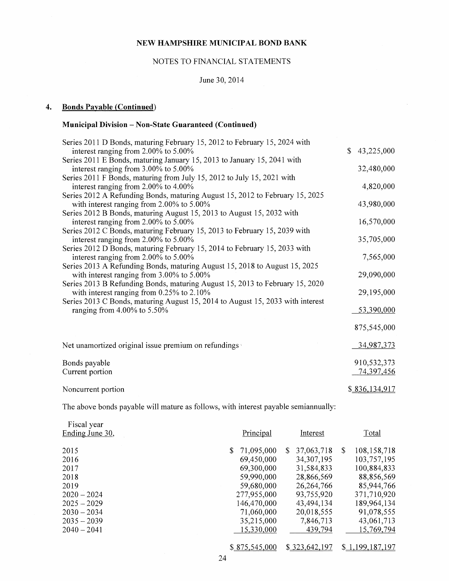## NOTES TO FINANCIAL STATEMENTS

## June 30, 2014

# **4. Bonds Payable (Continued)**

# **Municipal Division - Non-State Guaranteed (Continued)**

| Series 2011 D Bonds, maturing February 15, 2012 to February 15, 2024 with      |                            |
|--------------------------------------------------------------------------------|----------------------------|
| interest ranging from $2.00\%$ to $5.00\%$                                     | $\mathbb{S}$<br>43,225,000 |
| Series 2011 E Bonds, maturing January 15, 2013 to January 15, 2041 with        |                            |
| interest ranging from 3.00% to 5.00%                                           | 32,480,000                 |
| Series 2011 F Bonds, maturing from July 15, 2012 to July 15, 2021 with         |                            |
| interest ranging from 2.00% to 4.00%                                           | 4,820,000                  |
| Series 2012 A Refunding Bonds, maturing August 15, 2012 to February 15, 2025   |                            |
| with interest ranging from $2.00\%$ to $5.00\%$                                | 43,980,000                 |
| Series 2012 B Bonds, maturing August 15, 2013 to August 15, 2032 with          |                            |
| interest ranging from 2.00% to 5.00%                                           | 16,570,000                 |
| Series 2012 C Bonds, maturing February 15, 2013 to February 15, 2039 with      |                            |
| interest ranging from $2.00\%$ to $5.00\%$                                     | 35,705,000                 |
| Series 2012 D Bonds, maturing February 15, 2014 to February 15, 2033 with      |                            |
| interest ranging from 2.00% to 5.00%                                           | 7,565,000                  |
| Series 2013 A Refunding Bonds, maturing August 15, 2018 to August 15, 2025     |                            |
| with interest ranging from $3.00\%$ to $5.00\%$                                | 29,090,000                 |
| Series 2013 B Refunding Bonds, maturing August 15, 2013 to February 15, 2020   |                            |
| with interest ranging from $0.25\%$ to $2.10\%$                                | 29,195,000                 |
| Series 2013 C Bonds, maturing August 15, 2014 to August 15, 2033 with interest |                            |
| ranging from $4.00\%$ to $5.50\%$                                              | 53,390,000                 |
|                                                                                |                            |
|                                                                                | 875,545,000                |
|                                                                                |                            |
| Net unamortized original issue premium on refundings                           | 34,987,373                 |
|                                                                                |                            |
| Bonds payable                                                                  | 910,532,373                |
|                                                                                | 74,397,456                 |
| Current portion                                                                |                            |
|                                                                                | \$836,134,917              |
| Noncurrent portion                                                             |                            |

The above bonds payable will mature as follows, with interest payable semiannually:

| Fiscal year<br>Ending June 30, | Principal   | Interest          |   | Total       |
|--------------------------------|-------------|-------------------|---|-------------|
| 2015                           | 71,095,000  | 37,063,718<br>\$. | S | 108,158,718 |
| 2016                           | 69,450,000  | 34, 307, 195      |   | 103,757,195 |
| 2017                           | 69,300,000  | 31,584,833        |   | 100,884,833 |
| 2018                           | 59,990,000  | 28,866,569        |   | 88,856,569  |
| 2019                           | 59,680,000  | 26, 264, 766      |   | 85,944,766  |
| $2020 - 2024$                  | 277,955,000 | 93,755,920        |   | 371,710,920 |
| $2025 - 2029$                  | 146,470,000 | 43,494,134        |   | 189,964,134 |
| $2030 - 2034$                  | 71,060,000  | 20,018,555        |   | 91,078,555  |
| $2035 - 2039$                  | 35,215,000  | 7,846,713         |   | 43,061,713  |
| $2040 - 2041$                  | 15,330,000  | 439,794           |   | 15,769,794  |
|                                |             |                   |   |             |

\$ 875 545!000 \$ 323!642!197 \$ 1!199!187 197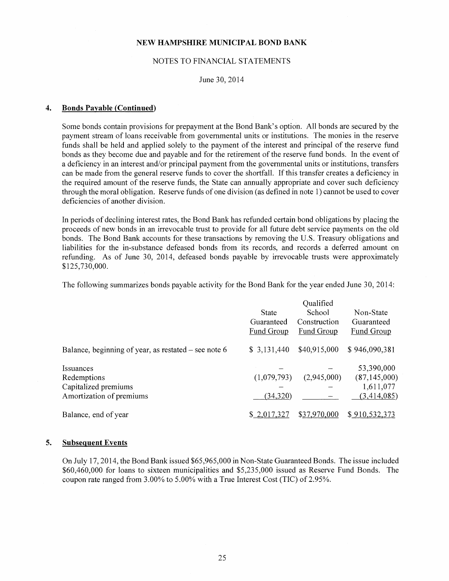#### NOTES TO FINANCIAL STATEMENTS

#### June 30, 2014

#### **4. Bonds Payable (Continued)**

Some bonds contain provisions for prepayment at the Bond Bank's option. All bonds are secured by the payment stream of loans receivable from governmental units or institutions. The monies in the reserve funds shall be held and applied solely to the payment of the interest and principal of the reserve fund bonds as they become due and payable and for the retirement of the reserve fund bonds. In the event of a deficiency in an interest and/or principal payment from the governmental units or institutions, transfers can be made from the general reserve funds to cover the shortfall. If this transfer creates a deficiency in the required amount of the reserve funds, the State can annually appropriate and cover such deficiency through the moral obligation. Reserve funds of one division (as defined in note 1) cannot be used to cover deficiencies of another division.

In periods of declining interest rates, the Bond Bank has refunded certain bond obligations by placing the proceeds of new bonds in an irrevocable trust to provide for all future debt service payments on the old bonds. The Bond Bank accounts for these transactions by removing the U.S. Treasury obligations and liabilities for the in-substance defeased bonds from its records, and records a deferred amount on refunding. As of June 30, 2014, defeased bonds payable by irrevocable trusts were approximately \$125,730,000.

The following summarizes bonds payable activity for the Bond Bank for the year ended June 30, 2014:

|                                                        | Qualified         |                   |                   |  |
|--------------------------------------------------------|-------------------|-------------------|-------------------|--|
|                                                        | <b>State</b>      | Non-State         |                   |  |
|                                                        | Guaranteed        | Construction      | Guaranteed        |  |
|                                                        | <b>Fund Group</b> | <b>Fund Group</b> | <b>Fund Group</b> |  |
| Balance, beginning of year, as restated $-$ see note 6 | \$3,131,440       | \$40,915,000      | \$946,090,381     |  |
| <i>Issuances</i>                                       |                   |                   | 53,390,000        |  |
| Redemptions                                            | (1,079,793)       | (2,945,000)       | (87, 145, 000)    |  |
| Capitalized premiums                                   |                   |                   | 1,611,077         |  |
| Amortization of premiums                               | (34,320)          |                   | (3,414,085)       |  |
| Balance, end of year                                   | \$2,017,327       | \$37,970,000      | \$910,532,373     |  |

#### **5. Subsequent Events**

On July 17, 2014, the Bond Bank issued \$65,965,000 in Non-State Guaranteed Bonds. The issue included \$60,460,000 for loans to sixteen municipalities and \$5,235,000 issued as Reserve Fund Bonds. The coupon rate ranged from 3.00% to 5.00% with a True Interest Cost (TIC) of 2.95%.